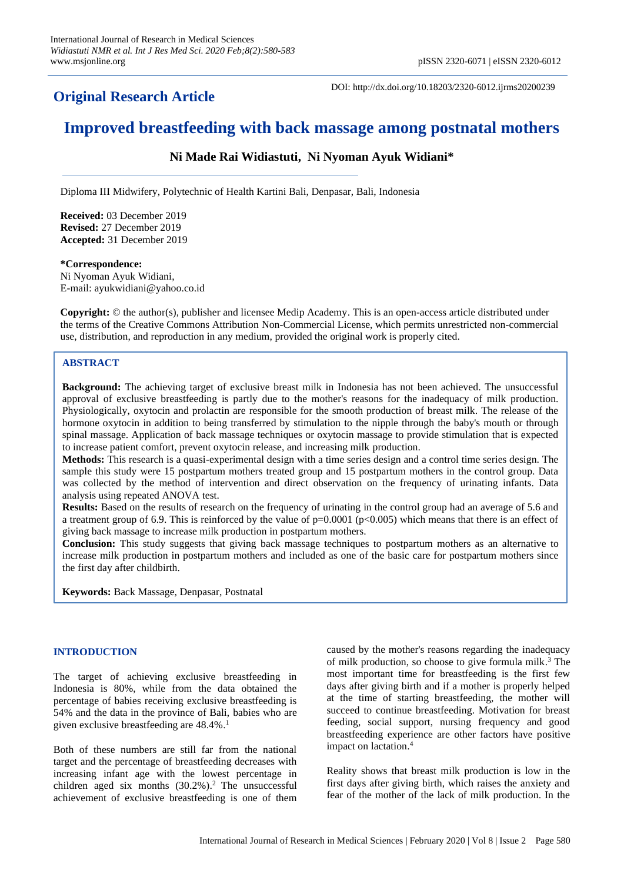# **Original Research Article**

DOI: http://dx.doi.org/10.18203/2320-6012.ijrms20200239

# **Improved breastfeeding with back massage among postnatal mothers**

# **Ni Made Rai Widiastuti, Ni Nyoman Ayuk Widiani\***

Diploma III Midwifery, Polytechnic of Health Kartini Bali, Denpasar, Bali, Indonesia

**Received:** 03 December 2019 **Revised:** 27 December 2019 **Accepted:** 31 December 2019

#### **\*Correspondence:**

Ni Nyoman Ayuk Widiani, E-mail: ayukwidiani@yahoo.co.id

**Copyright:** © the author(s), publisher and licensee Medip Academy. This is an open-access article distributed under the terms of the Creative Commons Attribution Non-Commercial License, which permits unrestricted non-commercial use, distribution, and reproduction in any medium, provided the original work is properly cited.

# **ABSTRACT**

**Background:** The achieving target of exclusive breast milk in Indonesia has not been achieved. The unsuccessful approval of exclusive breastfeeding is partly due to the mother's reasons for the inadequacy of milk production. Physiologically, oxytocin and prolactin are responsible for the smooth production of breast milk. The release of the hormone oxytocin in addition to being transferred by stimulation to the nipple through the baby's mouth or through spinal massage. Application of back massage techniques or oxytocin massage to provide stimulation that is expected to increase patient comfort, prevent oxytocin release, and increasing milk production.

**Methods:** This research is a quasi-experimental design with a time series design and a control time series design. The sample this study were 15 postpartum mothers treated group and 15 postpartum mothers in the control group. Data was collected by the method of intervention and direct observation on the frequency of urinating infants. Data analysis using repeated ANOVA test.

**Results:** Based on the results of research on the frequency of urinating in the control group had an average of 5.6 and a treatment group of 6.9. This is reinforced by the value of  $p=0.0001$  ( $p<0.005$ ) which means that there is an effect of giving back massage to increase milk production in postpartum mothers.

**Conclusion:** This study suggests that giving back massage techniques to postpartum mothers as an alternative to increase milk production in postpartum mothers and included as one of the basic care for postpartum mothers since the first day after childbirth.

**Keywords:** Back Massage, Denpasar, Postnatal

# **INTRODUCTION**

The target of achieving exclusive breastfeeding in Indonesia is 80%, while from the data obtained the percentage of babies receiving exclusive breastfeeding is 54% and the data in the province of Bali, babies who are given exclusive breastfeeding are 48.4%. 1

Both of these numbers are still far from the national target and the percentage of breastfeeding decreases with increasing infant age with the lowest percentage in children aged six months (30.2%). <sup>2</sup> The unsuccessful achievement of exclusive breastfeeding is one of them caused by the mother's reasons regarding the inadequacy of milk production, so choose to give formula milk. <sup>3</sup> The most important time for breastfeeding is the first few days after giving birth and if a mother is properly helped at the time of starting breastfeeding, the mother will succeed to continue breastfeeding. Motivation for breast feeding, social support, nursing frequency and good breastfeeding experience are other factors have positive impact on lactation. 4

Reality shows that breast milk production is low in the first days after giving birth, which raises the anxiety and fear of the mother of the lack of milk production. In the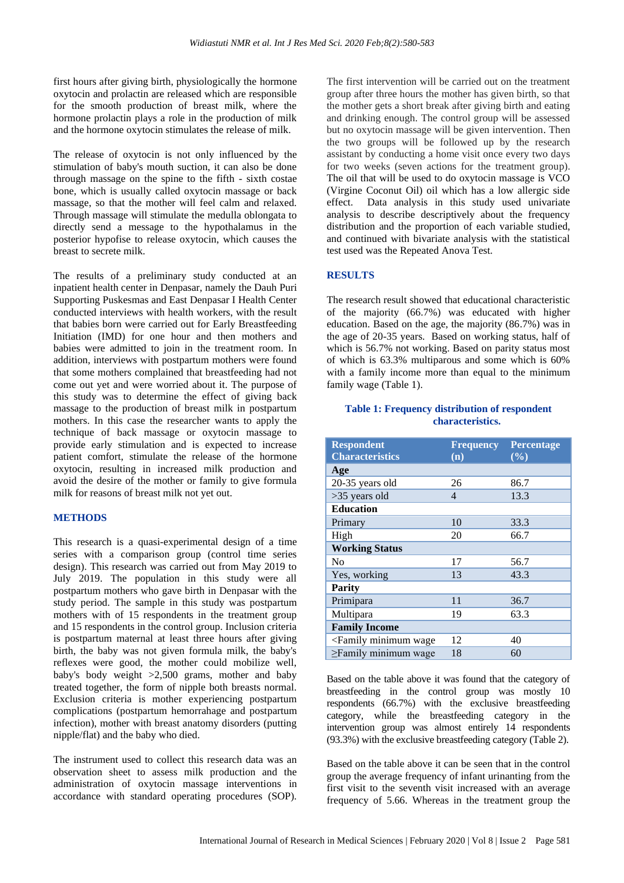first hours after giving birth, physiologically the hormone oxytocin and prolactin are released which are responsible for the smooth production of breast milk, where the hormone prolactin plays a role in the production of milk and the hormone oxytocin stimulates the release of milk.

The release of oxytocin is not only influenced by the stimulation of baby's mouth suction, it can also be done through massage on the spine to the fifth - sixth costae bone, which is usually called oxytocin massage or back massage, so that the mother will feel calm and relaxed. Through massage will stimulate the medulla oblongata to directly send a message to the hypothalamus in the posterior hypofise to release oxytocin, which causes the breast to secrete milk.

The results of a preliminary study conducted at an inpatient health center in Denpasar, namely the Dauh Puri Supporting Puskesmas and East Denpasar I Health Center conducted interviews with health workers, with the result that babies born were carried out for Early Breastfeeding Initiation (IMD) for one hour and then mothers and babies were admitted to join in the treatment room. In addition, interviews with postpartum mothers were found that some mothers complained that breastfeeding had not come out yet and were worried about it. The purpose of this study was to determine the effect of giving back massage to the production of breast milk in postpartum mothers. In this case the researcher wants to apply the technique of back massage or oxytocin massage to provide early stimulation and is expected to increase patient comfort, stimulate the release of the hormone oxytocin, resulting in increased milk production and avoid the desire of the mother or family to give formula milk for reasons of breast milk not yet out.

### **METHODS**

This research is a quasi-experimental design of a time series with a comparison group (control time series design). This research was carried out from May 2019 to July 2019. The population in this study were all postpartum mothers who gave birth in Denpasar with the study period. The sample in this study was postpartum mothers with of 15 respondents in the treatment group and 15 respondents in the control group. Inclusion criteria is postpartum maternal at least three hours after giving birth, the baby was not given formula milk, the baby's reflexes were good, the mother could mobilize well, baby's body weight >2,500 grams, mother and baby treated together, the form of nipple both breasts normal. Exclusion criteria is mother experiencing postpartum complications (postpartum hemorrahage and postpartum infection), mother with breast anatomy disorders (putting nipple/flat) and the baby who died.

The instrument used to collect this research data was an observation sheet to assess milk production and the administration of oxytocin massage interventions in accordance with standard operating procedures (SOP). The first intervention will be carried out on the treatment group after three hours the mother has given birth, so that the mother gets a short break after giving birth and eating and drinking enough. The control group will be assessed but no oxytocin massage will be given intervention. Then the two groups will be followed up by the research assistant by conducting a home visit once every two days for two weeks (seven actions for the treatment group). The oil that will be used to do oxytocin massage is VCO (Virgine Coconut Oil) oil which has a low allergic side effect. Data analysis in this study used univariate analysis to describe descriptively about the frequency distribution and the proportion of each variable studied, and continued with bivariate analysis with the statistical test used was the Repeated Anova Test.

#### **RESULTS**

The research result showed that educational characteristic of the majority (66.7%) was educated with higher education. Based on the age, the majority (86.7%) was in the age of 20-35 years. Based on working status, half of which is 56.7% not working. Based on parity status most of which is 63.3% multiparous and some which is 60% with a family income more than equal to the minimum family wage (Table 1).

# **Table 1: Frequency distribution of respondent characteristics.**

| <b>Respondent</b><br><b>Characteristics</b>                       | <b>Frequency</b><br>(n) | Percentage<br>(%) |  |  |  |  |
|-------------------------------------------------------------------|-------------------------|-------------------|--|--|--|--|
| Age                                                               |                         |                   |  |  |  |  |
| 20-35 years old                                                   | 26                      | 86.7              |  |  |  |  |
| $>35$ years old                                                   | 4                       | 13.3              |  |  |  |  |
| <b>Education</b>                                                  |                         |                   |  |  |  |  |
| Primary                                                           | 10                      | 33.3              |  |  |  |  |
| High                                                              | 20                      | 66.7              |  |  |  |  |
| <b>Working Status</b>                                             |                         |                   |  |  |  |  |
| N <sub>0</sub>                                                    | 17                      | 56.7              |  |  |  |  |
| Yes, working                                                      | 13                      | 43.3              |  |  |  |  |
| <b>Parity</b>                                                     |                         |                   |  |  |  |  |
| Primipara                                                         | 11                      | 36.7              |  |  |  |  |
| Multipara                                                         | 19                      | 63.3              |  |  |  |  |
| <b>Family Income</b>                                              |                         |                   |  |  |  |  |
| <family minimum="" td="" wage<=""><td>12</td><td>40</td></family> | 12                      | 40                |  |  |  |  |
| $\geq$ Family minimum wage                                        | 18                      | 60                |  |  |  |  |

Based on the table above it was found that the category of breastfeeding in the control group was mostly 10 respondents (66.7%) with the exclusive breastfeeding category, while the breastfeeding category in the intervention group was almost entirely 14 respondents (93.3%) with the exclusive breastfeeding category (Table 2).

Based on the table above it can be seen that in the control group the average frequency of infant urinanting from the first visit to the seventh visit increased with an average frequency of 5.66. Whereas in the treatment group the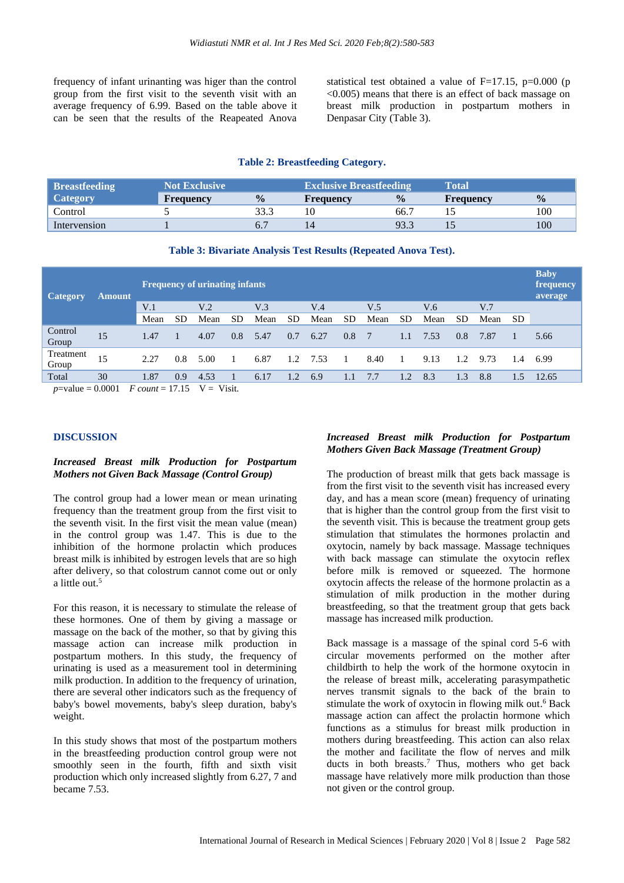frequency of infant urinanting was higer than the control group from the first visit to the seventh visit with an average frequency of 6.99. Based on the table above it can be seen that the results of the Reapeated Anova statistical test obtained a value of  $F=17.15$ ,  $p=0.000$  (p <0.005) means that there is an effect of back massage on breast milk production in postpartum mothers in Denpasar City (Table 3).

#### **Table 2: Breastfeeding Category.**

| <b>Breastfeeding</b> | Not Exclusive    |               | <b>Exclusive Breastfeeding</b> |                  | Total     |               |  |
|----------------------|------------------|---------------|--------------------------------|------------------|-----------|---------------|--|
| <b>Category</b>      | <b>Frequency</b> | $\frac{0}{0}$ | <b>Frequency</b>               | $\frac{0}{0}$    | Frequency | $\frac{0}{0}$ |  |
| Control              |                  |               | 10                             | 66. <sup>-</sup> |           | 100           |  |
| Intervension         |                  | O.,           |                                | 93.3             |           | 100           |  |

#### **Table 3: Bivariate Analysis Test Results (Repeated Anova Test).**

| <b>Category</b>    | <b>Amount</b> | <b>Frequency of urinating infants</b> |               |                 |     |                 |     |      |     |      |     |      |     | <b>Baby</b><br>frequency<br>average |     |       |
|--------------------|---------------|---------------------------------------|---------------|-----------------|-----|-----------------|-----|------|-----|------|-----|------|-----|-------------------------------------|-----|-------|
|                    |               | V.1                                   |               | V <sub>.2</sub> |     | V <sub>.3</sub> |     | V.4  |     | V.5  |     | V.6  |     | V.7                                 |     |       |
|                    |               | Mean                                  | <b>SD</b>     | Mean            | SD  | Mean            | SD  | Mean | SD  | Mean | SD  | Mean | SD  | Mean                                | SD. |       |
| Control<br>Group   | 15            | 1.47                                  |               | 4.07            | 0.8 | 5.47            | 0.7 | 6.27 | 0.8 | 7    | 1.1 | 7.53 | 0.8 | 7.87                                |     | 5.66  |
| Treatment<br>Group | 15            | 2.27                                  | $0.8^{\circ}$ | 5.00            |     | 6.87            | 1.2 | 7.53 |     | 8.40 |     | 9.13 | 1.2 | 9.73                                | 1.4 | 6.99  |
| Total              | 30            | 1.87                                  | 0.9           | 4.53            |     | 6.17            | 1.2 | 6.9  | 1.1 | 7.7  | 1.2 | 8.3  | 1.3 | 8.8                                 | 1.5 | 12.65 |

*p*=value = 0.0001 *F count* = 17.15  $V = V$ isit.

#### **DISCUSSION**

## *Increased Breast milk Production for Postpartum Mothers not Given Back Massage (Control Group)*

The control group had a lower mean or mean urinating frequency than the treatment group from the first visit to the seventh visit. In the first visit the mean value (mean) in the control group was 1.47. This is due to the inhibition of the hormone prolactin which produces breast milk is inhibited by estrogen levels that are so high after delivery, so that colostrum cannot come out or only a little out. 5

For this reason, it is necessary to stimulate the release of these hormones. One of them by giving a massage or massage on the back of the mother, so that by giving this massage action can increase milk production in postpartum mothers. In this study, the frequency of urinating is used as a measurement tool in determining milk production. In addition to the frequency of urination, there are several other indicators such as the frequency of baby's bowel movements, baby's sleep duration, baby's weight.

In this study shows that most of the postpartum mothers in the breastfeeding production control group were not smoothly seen in the fourth, fifth and sixth visit production which only increased slightly from 6.27, 7 and became 7.53.

## *Increased Breast milk Production for Postpartum Mothers Given Back Massage (Treatment Group)*

The production of breast milk that gets back massage is from the first visit to the seventh visit has increased every day, and has a mean score (mean) frequency of urinating that is higher than the control group from the first visit to the seventh visit. This is because the treatment group gets stimulation that stimulates the hormones prolactin and oxytocin, namely by back massage. Massage techniques with back massage can stimulate the oxytocin reflex before milk is removed or squeezed. The hormone oxytocin affects the release of the hormone prolactin as a stimulation of milk production in the mother during breastfeeding, so that the treatment group that gets back massage has increased milk production.

Back massage is a massage of the spinal cord 5-6 with circular movements performed on the mother after childbirth to help the work of the hormone oxytocin in the release of breast milk, accelerating parasympathetic nerves transmit signals to the back of the brain to stimulate the work of oxytocin in flowing milk out. <sup>6</sup> Back massage action can affect the prolactin hormone which functions as a stimulus for breast milk production in mothers during breastfeeding. This action can also relax the mother and facilitate the flow of nerves and milk ducts in both breasts. <sup>7</sup> Thus, mothers who get back massage have relatively more milk production than those not given or the control group.